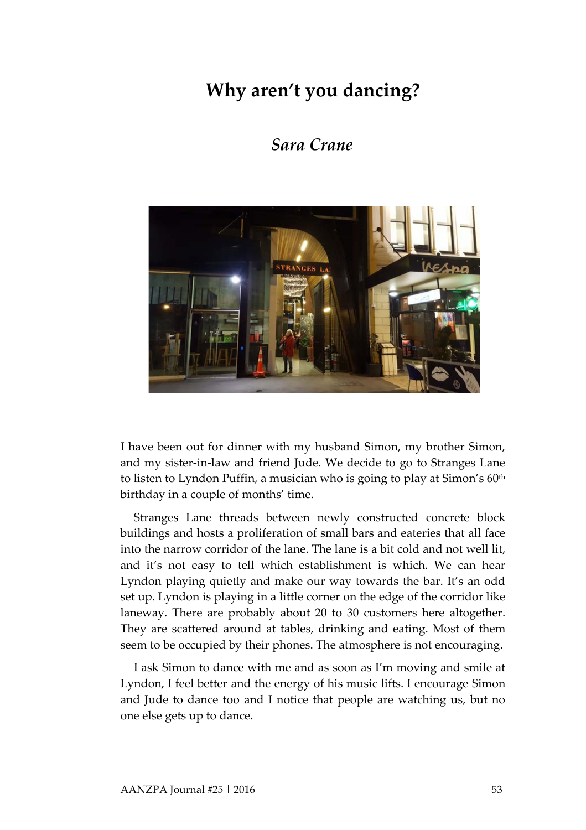## **Why aren't you dancing?**

## *Sara Crane*



I have been out for dinner with my husband Simon, my brother Simon, and my sister-in-law and friend Jude. We decide to go to Stranges Lane to listen to Lyndon Puffin, a musician who is going to play at Simon's 60<sup>th</sup> birthday in a couple of months' time.

Stranges Lane threads between newly constructed concrete block buildings and hosts a proliferation of small bars and eateries that all face into the narrow corridor of the lane. The lane is a bit cold and not well lit, and it's not easy to tell which establishment is which. We can hear Lyndon playing quietly and make our way towards the bar. It's an odd set up. Lyndon is playing in a little corner on the edge of the corridor like laneway. There are probably about 20 to 30 customers here altogether. They are scattered around at tables, drinking and eating. Most of them seem to be occupied by their phones. The atmosphere is not encouraging.

I ask Simon to dance with me and as soon as I'm moving and smile at Lyndon, I feel better and the energy of his music lifts. I encourage Simon and Jude to dance too and I notice that people are watching us, but no one else gets up to dance.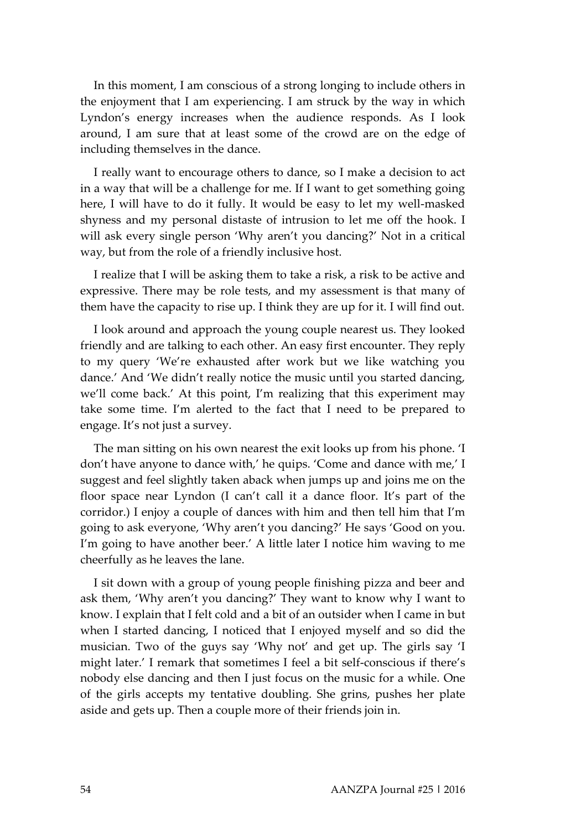In this moment, I am conscious of a strong longing to include others in the enjoyment that I am experiencing. I am struck by the way in which Lyndon's energy increases when the audience responds. As I look around, I am sure that at least some of the crowd are on the edge of including themselves in the dance.

I really want to encourage others to dance, so I make a decision to act in a way that will be a challenge for me. If I want to get something going here, I will have to do it fully. It would be easy to let my well-masked shyness and my personal distaste of intrusion to let me off the hook. I will ask every single person 'Why aren't you dancing?' Not in a critical way, but from the role of a friendly inclusive host.

I realize that I will be asking them to take a risk, a risk to be active and expressive. There may be role tests, and my assessment is that many of them have the capacity to rise up. I think they are up for it. I will find out.

I look around and approach the young couple nearest us. They looked friendly and are talking to each other. An easy first encounter. They reply to my query 'We're exhausted after work but we like watching you dance.' And 'We didn't really notice the music until you started dancing, we'll come back.' At this point, I'm realizing that this experiment may take some time. I'm alerted to the fact that I need to be prepared to engage. It's not just a survey.

The man sitting on his own nearest the exit looks up from his phone. 'I don't have anyone to dance with,' he quips. 'Come and dance with me,' I suggest and feel slightly taken aback when jumps up and joins me on the floor space near Lyndon (I can't call it a dance floor. It's part of the corridor.) I enjoy a couple of dances with him and then tell him that I'm going to ask everyone, 'Why aren't you dancing?' He says 'Good on you. I'm going to have another beer.' A little later I notice him waving to me cheerfully as he leaves the lane.

I sit down with a group of young people finishing pizza and beer and ask them, 'Why aren't you dancing?' They want to know why I want to know. I explain that I felt cold and a bit of an outsider when I came in but when I started dancing, I noticed that I enjoyed myself and so did the musician. Two of the guys say 'Why not' and get up. The girls say 'I might later.' I remark that sometimes I feel a bit self-conscious if there's nobody else dancing and then I just focus on the music for a while. One of the girls accepts my tentative doubling. She grins, pushes her plate aside and gets up. Then a couple more of their friends join in.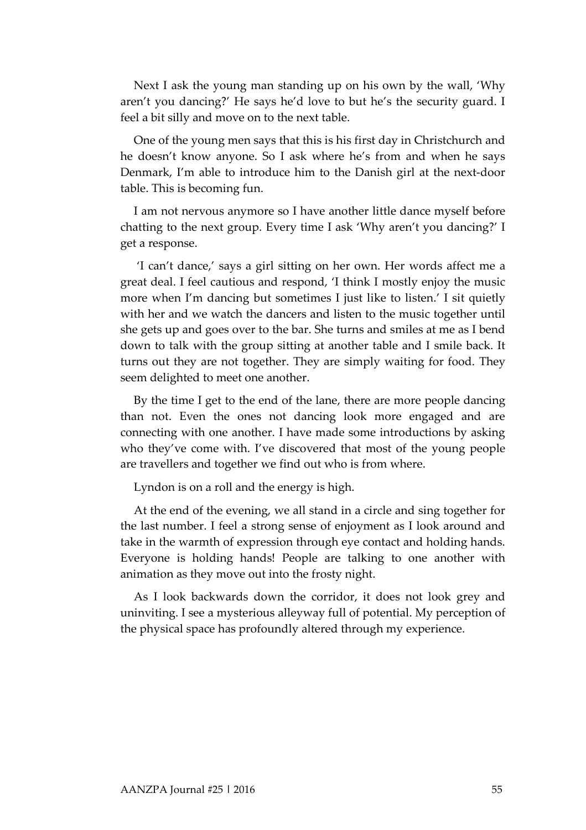Next I ask the young man standing up on his own by the wall, 'Why aren't you dancing?' He says he'd love to but he's the security guard. I feel a bit silly and move on to the next table.

One of the young men says that this is his first day in Christchurch and he doesn't know anyone. So I ask where he's from and when he says Denmark, I'm able to introduce him to the Danish girl at the next-door table. This is becoming fun.

I am not nervous anymore so I have another little dance myself before chatting to the next group. Every time I ask 'Why aren't you dancing?' I get a response.

'I can't dance,' says a girl sitting on her own. Her words affect me a great deal. I feel cautious and respond, 'I think I mostly enjoy the music more when I'm dancing but sometimes I just like to listen.' I sit quietly with her and we watch the dancers and listen to the music together until she gets up and goes over to the bar. She turns and smiles at me as I bend down to talk with the group sitting at another table and I smile back. It turns out they are not together. They are simply waiting for food. They seem delighted to meet one another.

By the time I get to the end of the lane, there are more people dancing than not. Even the ones not dancing look more engaged and are connecting with one another. I have made some introductions by asking who they've come with. I've discovered that most of the young people are travellers and together we find out who is from where.

Lyndon is on a roll and the energy is high.

At the end of the evening, we all stand in a circle and sing together for the last number. I feel a strong sense of enjoyment as I look around and take in the warmth of expression through eye contact and holding hands. Everyone is holding hands! People are talking to one another with animation as they move out into the frosty night.

As I look backwards down the corridor, it does not look grey and uninviting. I see a mysterious alleyway full of potential. My perception of the physical space has profoundly altered through my experience.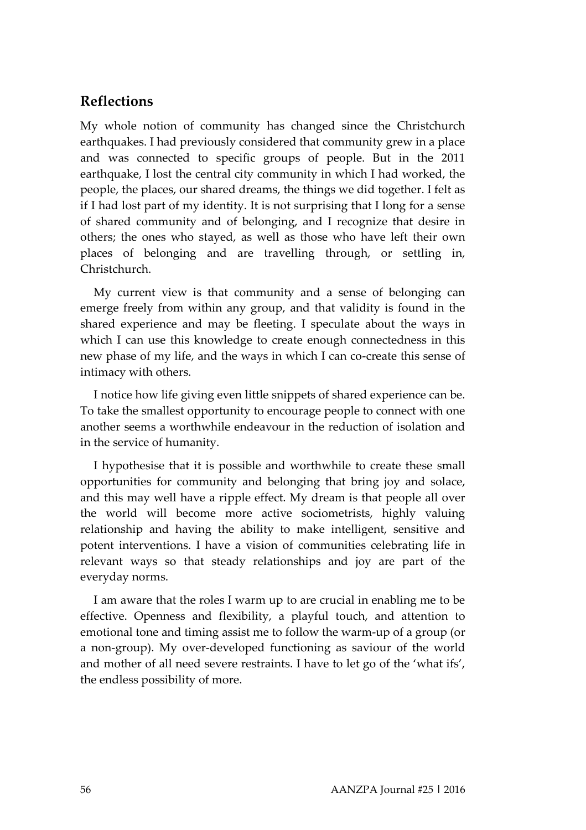## **Reflections**

My whole notion of community has changed since the Christchurch earthquakes. I had previously considered that community grew in a place and was connected to specific groups of people. But in the 2011 earthquake, I lost the central city community in which I had worked, the people, the places, our shared dreams, the things we did together. I felt as if I had lost part of my identity. It is not surprising that I long for a sense of shared community and of belonging, and I recognize that desire in others; the ones who stayed, as well as those who have left their own places of belonging and are travelling through, or settling in, Christchurch.

My current view is that community and a sense of belonging can emerge freely from within any group, and that validity is found in the shared experience and may be fleeting. I speculate about the ways in which I can use this knowledge to create enough connectedness in this new phase of my life, and the ways in which I can co-create this sense of intimacy with others.

I notice how life giving even little snippets of shared experience can be. To take the smallest opportunity to encourage people to connect with one another seems a worthwhile endeavour in the reduction of isolation and in the service of humanity.

I hypothesise that it is possible and worthwhile to create these small opportunities for community and belonging that bring joy and solace, and this may well have a ripple effect. My dream is that people all over the world will become more active sociometrists, highly valuing relationship and having the ability to make intelligent, sensitive and potent interventions. I have a vision of communities celebrating life in relevant ways so that steady relationships and joy are part of the everyday norms.

I am aware that the roles I warm up to are crucial in enabling me to be effective. Openness and flexibility, a playful touch, and attention to emotional tone and timing assist me to follow the warm-up of a group (or a non-group). My over-developed functioning as saviour of the world and mother of all need severe restraints. I have to let go of the 'what ifs', the endless possibility of more.